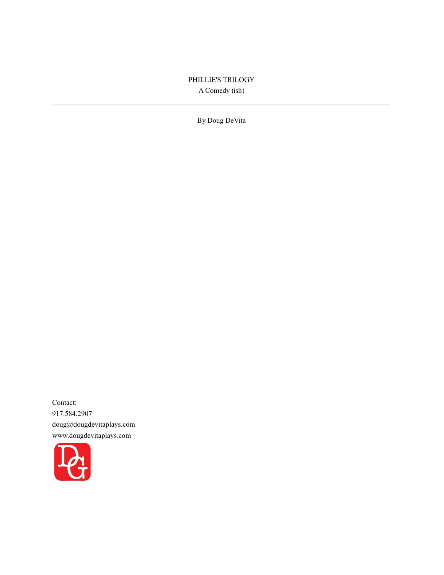# PHILLIE'S TRILOGY A Comedy (ish)

By Doug DeVita

Contact: 917.584.2907 doug@dougdevitaplays.com www.dougdevitaplays.com

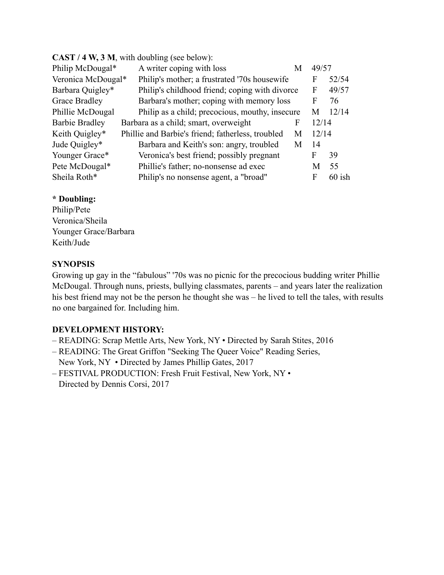| CAS $1/4$ W, $3$ M, with doubling (see below).             |                                                   |   |       |          |
|------------------------------------------------------------|---------------------------------------------------|---|-------|----------|
| Philip McDougal*                                           | A writer coping with loss<br>M                    |   | 49/57 |          |
| Veronica McDougal*                                         | Philip's mother; a frustrated '70s housewife      |   | F     | 52/54    |
| Barbara Quigley*                                           | Philip's childhood friend; coping with divorce    |   | F     | 49/57    |
| Grace Bradley<br>Barbara's mother; coping with memory loss |                                                   |   | F     | 76       |
| Phillie McDougal                                           | Philip as a child; precocious, mouthy, insecure   |   | M     | 12/14    |
| <b>Barbie Bradley</b>                                      | Barbara as a child; smart, overweight             | F | 12/14 |          |
| Keith Quigley*                                             | Phillie and Barbie's friend; fatherless, troubled | M | 12/14 |          |
| Jude Quigley*                                              | Barbara and Keith's son: angry, troubled          | M | 14    |          |
| Younger Grace*                                             | Veronica's best friend; possibly pregnant         |   | F     | 39       |
| Pete McDougal*                                             | Phillie's father; no-nonsense ad exec             |   | M     | 55       |
| Sheila Roth*                                               | Philip's no nonsense agent, a "broad"             |   | F     | $60$ ish |
|                                                            |                                                   |   |       |          |

# **CAST / 4 W, 3 M**, with doubling (see below):

## **\* Doubling:**

Philip/Pete Veronica/Sheila Younger Grace/Barbara Keith/Jude

# **SYNOPSIS**

Growing up gay in the "fabulous" '70s was no picnic for the precocious budding writer Phillie McDougal. Through nuns, priests, bullying classmates, parents – and years later the realization his best friend may not be the person he thought she was – he lived to tell the tales, with results no one bargained for. Including him.

# **DEVELOPMENT HISTORY:**

- READING: Scrap Mettle Arts, New York, NY Directed by Sarah Stites, 2016
- READING: The Great Griffon "Seeking The Queer Voice" Reading Series, New York, NY • Directed by James Phillip Gates, 2017
- FESTIVAL PRODUCTION: Fresh Fruit Festival, New York, NY Directed by Dennis Corsi, 2017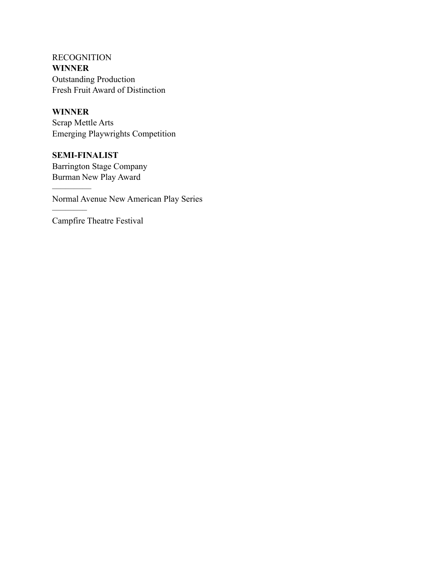RECOGNITION **WINNER** Outstanding Production Fresh Fruit Award of Distinction

### **WINNER**

–––––––––

––––––––

Scrap Mettle Arts Emerging Playwrights Competition

**SEMI-FINALIST** Barrington Stage Company Burman New Play Award

Normal Avenue New American Play Series

Campfire Theatre Festival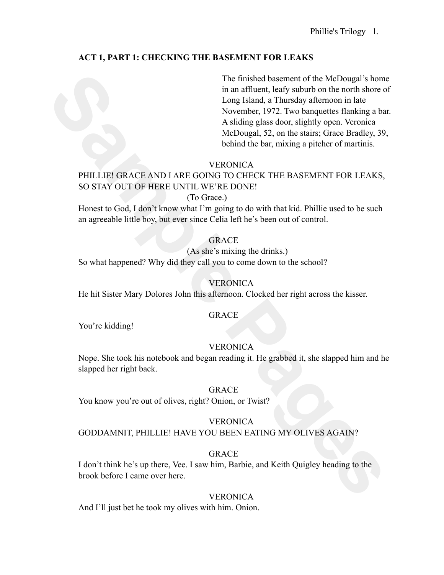# **ACT 1, PART 1: CHECKING THE BASEMENT FOR LEAKS**

The finished basement of the McDougal's home through is the match than Hardward, levis yashords on the north shore Lamburgh 1972. I we homeontos has been been assets that we hold be been assets that the matter of the belin The finished basement of the McDougal's home in an affluent, leafy suburb on the north shore of Long Island, a Thursday afternoon in late November, 1972. Two banquettes flanking a bar. A sliding glass door, slightly open. Veronica McDougal, 52, on the stairs; Grace Bradley, 39, behind the bar, mixing a pitcher of martinis.

# **VERONICA**

# PHILLIE! GRACE AND I ARE GOING TO CHECK THE BASEMENT FOR LEAKS, SO STAY OUT OF HERE UNTIL WE'RE DONE!

# (To Grace.)

Honest to God, I don't know what I'm going to do with that kid. Phillie used to be such an agreeable little boy, but ever since Celia left he's been out of control.

# GRACE

(As she's mixing the drinks.) So what happened? Why did they call you to come down to the school?

# VERONICA

He hit Sister Mary Dolores John this afternoon. Clocked her right across the kisser.

### GRACE

You're kidding!

# VERONICA

Nope. She took his notebook and began reading it. He grabbed it, she slapped him and he slapped her right back.

### GRACE

You know you're out of olives, right? Onion, or Twist?

### **VERONICA**

GODDAMNIT, PHILLIE! HAVE YOU BEEN EATING MY OLIVES AGAIN?

# GRACE

I don't think he's up there, Vee. I saw him, Barbie, and Keith Quigley heading to the brook before I came over here.

### **VERONICA**

And I'll just bet he took my olives with him. Onion.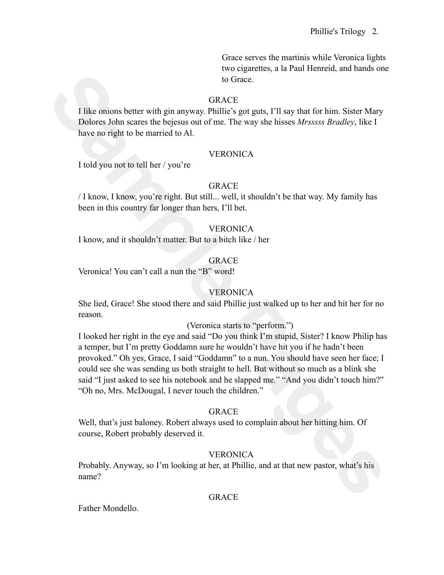Grace serves the martinis while Veronica lights two cigarettes, a la Paul Henreid, and hands one to Grace.

## GRACE

I like onions better with gin anyway. Phillie's got guts, I'll say that for him. Sister Mary Dolores John scares the bejesus out of me. The way she hisses *Mrsssss Bradley*, like I have no right to be married to Al.

## **VERONICA**

I told you not to tell her / you're

## GRACE

/ I know, I know, you're right. But still... well, it shouldn't be that way. My family has been in this country far longer than hers, I'll bet.

## **VERONICA**

I know, and it shouldn't matter. But to a bitch like / her

## GRACE

Veronica! You can't call a nun the "B" word!

# **VERONICA**

She lied, Grace! She stood there and said Phillie just walked up to her and hit her for no reason.

(Veronica starts to "perform.")

**Sample 19**<br> **Sample Pages**<br> **Sample Pages**<br> **Sample Pages**<br> **Sample Pages**<br> **Sample Pages**<br> **Sample Pages**<br> **Sample Pages**<br> **Sample Pages**<br> **Sample Pages**<br> **Sample Pages**<br> **Sample Pages**<br> **SAMPLE Pages**<br> **SAMPLE Pages**<br> I looked her right in the eye and said "Do you think I'm stupid, Sister? I know Philip has a temper, but I'm pretty Goddamn sure he wouldn't have hit you if he hadn't been provoked." Oh yes, Grace, I said "Goddamn" to a nun. You should have seen her face; I could see she was sending us both straight to hell. But without so much as a blink she said "I just asked to see his notebook and he slapped me." "And you didn't touch him?" "Oh no, Mrs. McDougal, I never touch the children."

# GRACE

Well, that's just baloney. Robert always used to complain about her hitting him. Of course, Robert probably deserved it.

# **VERONICA**

Probably. Anyway, so I'm looking at her, at Phillie, and at that new pastor, what's his name?

# GRACE

Father Mondello.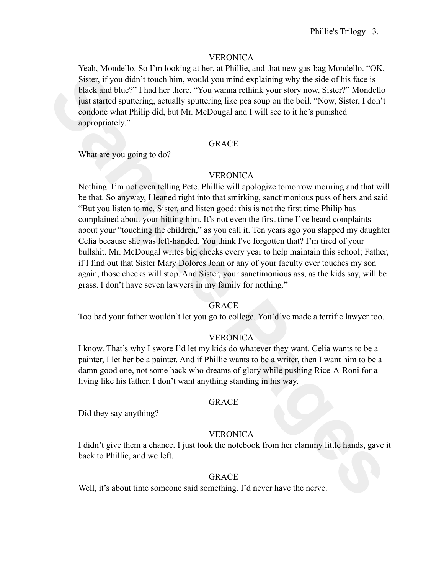Yeah, Mondello. So I'm looking at her, at Phillie, and that new gas-bag Mondello. "OK, Sister, if you didn't touch him, would you mind explaining why the side of his face is black and blue?" I had her there. "You wanna rethink your story now, Sister?" Mondello just started sputtering, actually sputtering like pea soup on the boil. "Now, Sister, I don't condone what Philip did, but Mr. McDougal and I will see to it he's punished appropriately."

#### GRACE

What are you going to do?

### **VERONICA**

Start, Tryou disht troch him, would you mind explaining why the side of his faces is<br>Start, Tryou disht trouch him, would you mind explaining why the side of his face is<br>back and blue?" Indial payard the meet "You wanna re Nothing. I'm not even telling Pete. Phillie will apologize tomorrow morning and that will be that. So anyway, I leaned right into that smirking, sanctimonious puss of hers and said "But you listen to me, Sister, and listen good: this is not the first time Philip has complained about your hitting him. It's not even the first time I've heard complaints about your "touching the children," as you call it. Ten years ago you slapped my daughter Celia because she was left-handed. You think I've forgotten that? I'm tired of your bullshit. Mr. McDougal writes big checks every year to help maintain this school; Father, if I find out that Sister Mary Dolores John or any of your faculty ever touches my son again, those checks will stop. And Sister, your sanctimonious ass, as the kids say, will be grass. I don't have seven lawyers in my family for nothing."

#### GRACE

Too bad your father wouldn't let you go to college. You'd've made a terrific lawyer too.

### **VERONICA**

I know. That's why I swore I'd let my kids do whatever they want. Celia wants to be a painter, I let her be a painter. And if Phillie wants to be a writer, then I want him to be a damn good one, not some hack who dreams of glory while pushing Rice-A-Roni for a living like his father. I don't want anything standing in his way.

#### GRACE

Did they say anything?

### VERONICA

I didn't give them a chance. I just took the notebook from her clammy little hands, gave it back to Phillie, and we left.

### GRACE

Well, it's about time someone said something. I'd never have the nerve.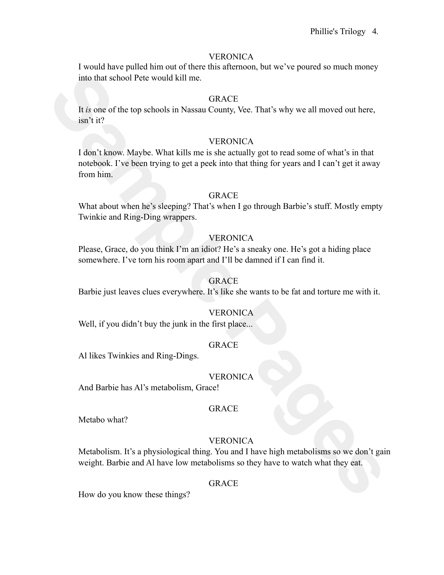I would have pulled him out of there this afternoon, but we've poured so much money into that school Pete would kill me.

#### GRACE

It *is* one of the top schools in Nassau County, Vee. That's why we all moved out here, isn't it?

### **VERONICA**

into that school Pete would kill me.<br> **SIRACE**<br>
It is one of the top schools in Nassau County, Vee. That's why we all moved out here,<br> **SIRACE**<br>
1 don't know. Maybe. What kills me is she actually got to read some of what's I don't know. Maybe. What kills me is she actually got to read some of what's in that notebook. I've been trying to get a peek into that thing for years and I can't get it away from him.

### GRACE

What about when he's sleeping? That's when I go through Barbie's stuff. Mostly empty Twinkie and Ring-Ding wrappers.

#### VERONICA

Please, Grace, do you think I'm an idiot? He's a sneaky one. He's got a hiding place somewhere. I've torn his room apart and I'll be damned if I can find it.

#### GRACE

Barbie just leaves clues everywhere. It's like she wants to be fat and torture me with it.

#### **VERONICA**

Well, if you didn't buy the junk in the first place...

## GRACE

Al likes Twinkies and Ring-Dings.

#### **VERONICA**

And Barbie has Al's metabolism, Grace!

#### GRACE

Metabo what?

#### **VERONICA**

Metabolism. It's a physiological thing. You and I have high metabolisms so we don't gain weight. Barbie and Al have low metabolisms so they have to watch what they eat.

#### GRACE

How do you know these things?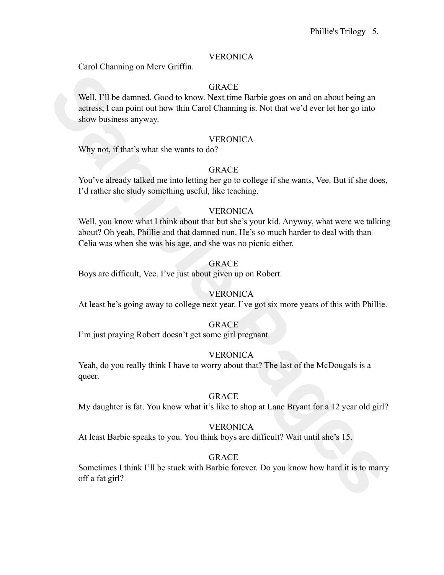Carol Channing on Merv Griffin.

## GRACE

Well, I'll be damned. Good to know. Next time Barbie goes on and on about being an actress, I can point out how thin Carol Channing is. Not that we'd ever let her go into show business anyway.

### **VERONICA**

Why not, if that's what she wants to do?

# GRACE

You've already talked me into letting her go to college if she wants, Vee. But if she does, I'd rather she study something useful, like teaching.

## VERONICA

**SIRACE**<br>
SAMPLE II be dammed. Good to know, Next time Barbie goes on and on about being an<br>
actress. I can point out how thin Carol Chamming is. Not that we'd ever let her go into<br>
show business anyway.<br>
VERONTCA<br>
Wity no Well, you know what I think about that but she's your kid. Anyway, what were we talking about? Oh yeah, Phillie and that damned nun. He's so much harder to deal with than Celia was when she was his age, and she was no picnic either.

## GRACE

Boys are difficult, Vee. I've just about given up on Robert.

# **VERONICA**

At least he's going away to college next year. I've got six more years of this with Phillie.

### **GRACE**

I'm just praying Robert doesn't get some girl pregnant.

### **VERONICA**

Yeah, do you really think I have to worry about that? The last of the McDougals is a queer.

### GRACE

My daughter is fat. You know what it's like to shop at Lane Bryant for a 12 year old girl?

### **VERONICA**

At least Barbie speaks to you. You think boys are difficult? Wait until she's 15.

# GRACE

Sometimes I think I'll be stuck with Barbie forever. Do you know how hard it is to marry off a fat girl?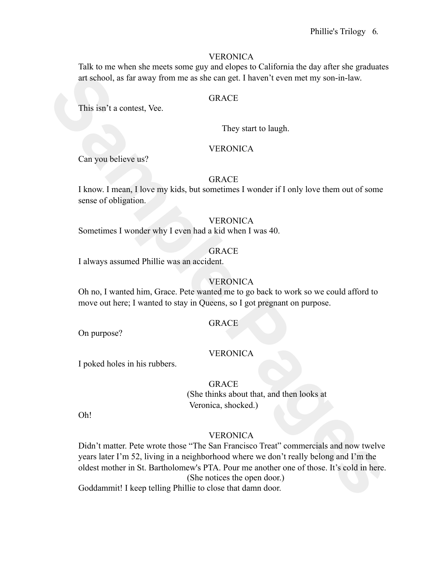Talk to me when she meets some guy and elopes to California the day after she graduates art school, as far away from me as she can get. I haven't even met my son-in-law.

#### **GRACE**

This isn't a contest, Vee.

They start to laugh.

### VERONICA

Can you believe us?

# GRACE

I know. I mean, I love my kids, but sometimes I wonder if I only love them out of some sense of obligation.

#### VERONICA

Sometimes I wonder why I even had a kid when I was 40.

# GRACE

I always assumed Phillie was an accident.

### **VERONICA**

Oh no, I wanted him, Grace. Pete wanted me to go back to work so we could afford to move out here; I wanted to stay in Queens, so I got pregnant on purpose.

### **GRACE**

On purpose?

#### VERONICA

I poked holes in his rubbers.

## GRACE

(She thinks about that, and then looks at Veronica, shocked.)

Oh!

## **VERONICA**

**Sample Page 12 (Sample Page 1)**<br> **Sample Page 2)**<br> **Sample Page 2)**<br> **Sample Page 2)**<br> **Sample Page 2)**<br> **Sample Page 2)**<br> **Sample Page 2)**<br> **Sample Page 2)**<br> **Sample Page 2)**<br> **Sample Page 2)**<br> **Sample Page 2)**<br> **Sample** Didn't matter. Pete wrote those "The San Francisco Treat" commercials and now twelve years later I'm 52, living in a neighborhood where we don't really belong and I'm the oldest mother in St. Bartholomew's PTA. Pour me another one of those. It's cold in here. (She notices the open door.) Goddammit! I keep telling Phillie to close that damn door.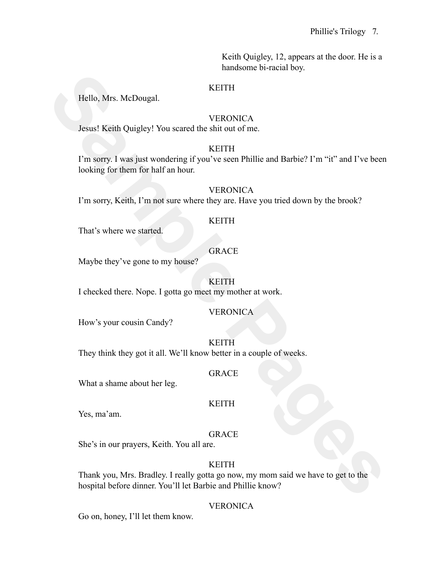Keith Quigley, 12, appears at the door. He is a handsome bi-racial boy.

### KEITH

Hello, Mrs. McDougal.

#### VERONICA

Jesus! Keith Quigley! You scared the shit out of me.

## KEITH

**Sample Pages 1920**<br> **Sample Pages 1920**<br> **Sample Pages 1920**<br> **Sample Pages 1920**<br> **Sample Pages 1920**<br> **Sample Pages 1920**<br> **Sample Pages 1920**<br> **Sample Pages 1920**<br> **Sample Pages 1920**<br> **Sample Pages 1920**<br> **Sample Page** I'm sorry. I was just wondering if you've seen Phillie and Barbie? I'm "it" and I've been looking for them for half an hour.

#### VERONICA

I'm sorry, Keith, I'm not sure where they are. Have you tried down by the brook?

#### KEITH

That's where we started.

# GRACE

Maybe they've gone to my house?

#### KEITH

I checked there. Nope. I gotta go meet my mother at work.

### VERONICA

How's your cousin Candy?

#### KEITH

They think they got it all. We'll know better in a couple of weeks.

#### GRACE

What a shame about her leg.

### KEITH

Yes, ma'am.

### GRACE

She's in our prayers, Keith. You all are.

### KEITH

Thank you, Mrs. Bradley. I really gotta go now, my mom said we have to get to the hospital before dinner. You'll let Barbie and Phillie know?

### VERONICA

Go on, honey, I'll let them know.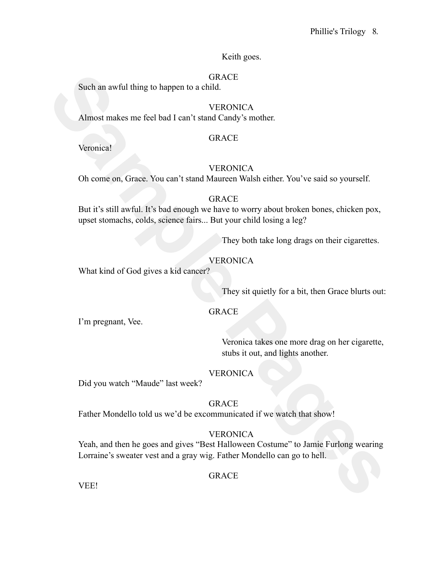Keith goes.

### **GRACE**

Such an awful thing to happen to a child.

# **VERONICA**

Almost makes me feel bad I can't stand Candy's mother.

#### GRACE

Veronica!

### **VERONICA**

Oh come on, Grace. You can't stand Maureen Walsh either. You've said so yourself.

#### GRACE

Such an awful thing to huppen to a child.<br>
VERONICA<br>
VERONICA<br>
Almost makes me feel had I can't stand Candy's mother.<br>
VERONICA<br>
CRACE<br>
VERONICA<br>
Oh come on, Grace. You can't stand Maureen Walsh either. You've said so your But it's still awful. It's bad enough we have to worry about broken bones, chicken pox, upset stomachs, colds, science fairs... But your child losing a leg?

They both take long drags on their cigarettes.

## **VERONICA**

What kind of God gives a kid cancer?

They sit quietly for a bit, then Grace blurts out:

# **GRACE**

I'm pregnant, Vee.

Veronica takes one more drag on her cigarette, stubs it out, and lights another.

## VERONICA

Did you watch "Maude" last week?

### GRACE

Father Mondello told us we'd be excommunicated if we watch that show!

### VERONICA

Yeah, and then he goes and gives "Best Halloween Costume" to Jamie Furlong wearing Lorraine's sweater vest and a gray wig. Father Mondello can go to hell.

### GRACE

VEE!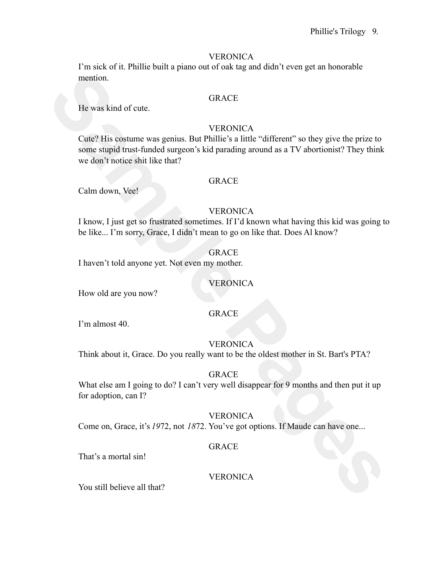I'm sick of it. Phillie built a piano out of oak tag and didn't even get an honorable mention.

#### GRACE

He was kind of cute.

## **VERONICA**

mention.<br> **SAMPLE REVALUANT CONTEX**<br> **SAMPLE CONTEX**<br> **SAMPLE CONTEX**<br> **SAMPLE CONTEX**<br> **SAMPLE CONTEX**<br> **SAMPLE CONTEX**<br> **SAMPLE CONTEX**<br> **SAMPLE CONTEX**<br> **SAMPLE CONTEX**<br> **SAMPLE CONTEX**<br> **SAMPLE CONTEX**<br> **SAMPLE CONTEX** Cute? His costume was genius. But Phillie's a little "different" so they give the prize to some stupid trust-funded surgeon's kid parading around as a TV abortionist? They think we don't notice shit like that?

### **GRACE**

Calm down, Vee!

### **VERONICA**

I know, I just get so frustrated sometimes. If I'd known what having this kid was going to be like... I'm sorry, Grace, I didn't mean to go on like that. Does Al know?

# **GRACE**

I haven't told anyone yet. Not even my mother.

### VERONICA

How old are you now?

### GRACE

I'm almost 40.

### **VERONICA**

Think about it, Grace. Do you really want to be the oldest mother in St. Bart's PTA?

#### GRACE

What else am I going to do? I can't very well disappear for 9 months and then put it up for adoption, can I?

## **VERONICA**

Come on, Grace, it's *19*72, not *18*72. You've got options. If Maude can have one...

#### GRACE

That's a mortal sin!

## **VERONICA**

You still believe all that?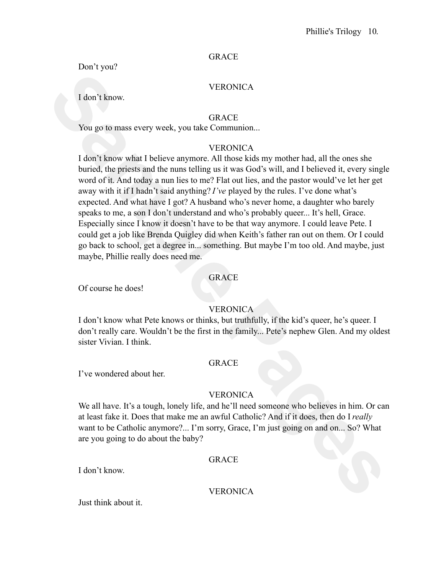## GRACE

Don't you?

## **VERONICA**

I don't know.

**GRACE** 

You go to mass every week, you take Communion...

# **VERONICA**

VERONICA<br>
14 don't know.<br>
GRACE<br>
You go to mass every week, you take Communion...<br>
VERONICA<br>
16 whiled, the priests and the nums telling us it was food's will, and I believed it, every single<br>
buried, the priests and the n I don't know what I believe anymore. All those kids my mother had, all the ones she buried, the priests and the nuns telling us it was God's will, and I believed it, every single word of it. And today a nun lies to me? Flat out lies, and the pastor would've let her get away with it if I hadn't said anything? *I've* played by the rules. I've done what's expected. And what have I got? A husband who's never home, a daughter who barely speaks to me, a son I don't understand and who's probably queer... It's hell, Grace. Especially since I know it doesn't have to be that way anymore. I could leave Pete. I could get a job like Brenda Quigley did when Keith's father ran out on them. Or I could go back to school, get a degree in... something. But maybe I'm too old. And maybe, just maybe, Phillie really does need me.

# GRACE

Of course he does!

# **VERONICA**

I don't know what Pete knows or thinks, but truthfully, if the kid's queer, he's queer. I don't really care. Wouldn't be the first in the family... Pete's nephew Glen. And my oldest sister Vivian. I think

### GRACE

I've wondered about her.

# VERONICA

We all have. It's a tough, lonely life, and he'll need someone who believes in him. Or can at least fake it. Does that make me an awful Catholic? And if it does, then do I *really* want to be Catholic anymore?... I'm sorry, Grace, I'm just going on and on... So? What are you going to do about the baby?

### GRACE

I don't know.

# VERONICA

Just think about it.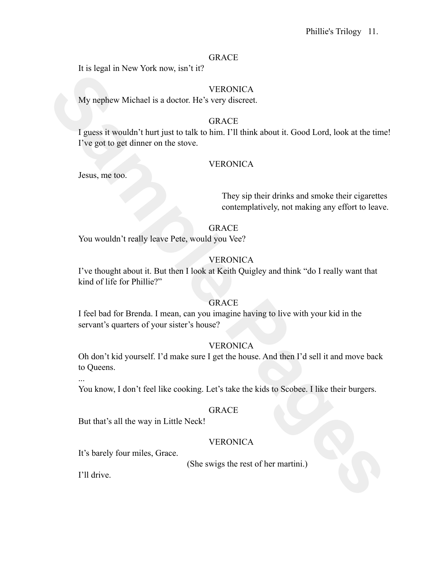#### GRACE

It is legal in New York now, isn't it?

## **VERONICA**

My nephew Michael is a doctor. He's very discreet.

# **GRACE**

**Sample Pages In Fig. 100 Fact about the CONTEX CONTEX CONTEX CONTEX INTERFERENCE IS a doctor. He's very discrete.**<br> **SEACE**<br> **SEACE**<br> **SAMPLE PAGES INTERFERENCE IS the big of the big Pages of the get to get dimer on the s** I guess it wouldn't hurt just to talk to him. I'll think about it. Good Lord, look at the time! I've got to get dinner on the stove.

## VERONICA

Jesus, me too.

They sip their drinks and smoke their cigarettes contemplatively, not making any effort to leave.

### GRACE

You wouldn't really leave Pete, would you Vee?

## VERONICA

I've thought about it. But then I look at Keith Quigley and think "do I really want that kind of life for Phillie?"

### GRACE

I feel bad for Brenda. I mean, can you imagine having to live with your kid in the servant's quarters of your sister's house?

### **VERONICA**

Oh don't kid yourself. I'd make sure I get the house. And then I'd sell it and move back to Queens.

...

You know, I don't feel like cooking. Let's take the kids to Scobee. I like their burgers.

#### GRACE

But that's all the way in Little Neck!

### **VERONICA**

It's barely four miles, Grace.

(She swigs the rest of her martini.)

I'll drive.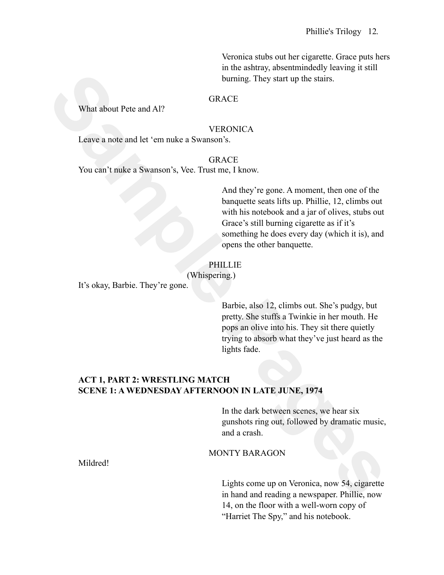Veronica stubs out her cigarette. Grace puts hers in the ashtray, absentmindedly leaving it still burning. They start up the stairs.

### GRACE

What about Pete and Al?

#### VERONICA

Leave a note and let 'em nuke a Swanson's.

GRACE You can't nuke a Swanson's, Vee. Trust me, I know.

**SINGLE SET UP:** Start up the starts.<br>
Using Pages 1 and starts.<br> **SEACE**<br> **SEACE**<br> **SEACE**<br> **SEACE**<br> **SEACE**<br> **SEACE**<br> **SEACE**<br> **SEACE**<br> **SEACE**<br> **SEACE**<br> **SEACE**<br> **SEACE**<br> **SEACE**<br> **SEACE**<br> **SEACE**<br> **SEACE**<br> **SEACE AREFA** And they're gone. A moment, then one of the banquette seats lifts up. Phillie, 12, climbs out with his notebook and a jar of olives, stubs out Grace's still burning cigarette as if it's something he does every day (which it is), and opens the other banquette.

## PHILLIE

(Whispering.)

It's okay, Barbie. They're gone.

Barbie, also 12, climbs out. She's pudgy, but pretty. She stuffs a Twinkie in her mouth. He pops an olive into his. They sit there quietly trying to absorb what they've just heard as the lights fade.

# **ACT 1, PART 2: WRESTLING MATCH SCENE 1: A WEDNESDAY AFTERNOON IN LATE JUNE, 1974**

In the dark between scenes, we hear six gunshots ring out, followed by dramatic music, and a crash.

#### MONTY BARAGON

Mildred!

Lights come up on Veronica, now 54, cigarette in hand and reading a newspaper. Phillie, now 14, on the floor with a well-worn copy of "Harriet The Spy," and his notebook.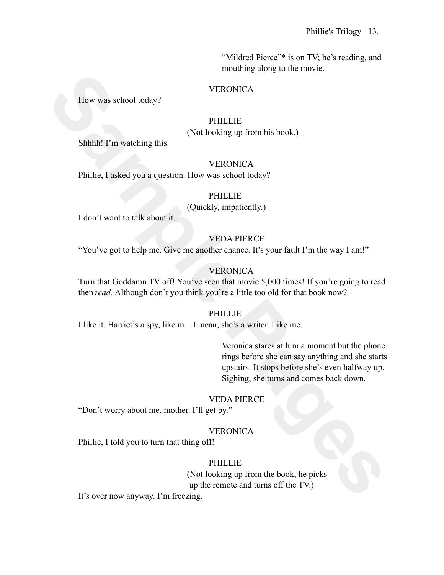"Mildred Pierce"\* is on TV; he's reading, and mouthing along to the movie.

#### **VERONICA**

How was school today?

## PHILLIE

(Not looking up from his book.)

Shhhh! I'm watching this.

#### **VERONICA**

Phillie, I asked you a question. How was school today?

### PHILLIE

(Quickly, impatiently.)

I don't want to talk about it.

## VEDA PIERCE

"You've got to help me. Give me another chance. It's your fault I'm the way I am!"

### VERONICA

Turn that Goddamn TV off! You've seen that movie 5,000 times! If you're going to read then *read.* Although don't you think you're a little too old for that book now?

#### PHILLIE

I like it. Harriet's a spy, like m – I mean, she's a writer. Like me.

**Sample Pages** Veronica stares at him a moment but the phone rings before she can say anything and she starts upstairs. It stops before she's even halfway up. Sighing, she turns and comes back down.

#### VEDA PIERCE

"Don't worry about me, mother. I'll get by."

### **VERONICA**

Phillie, I told you to turn that thing off!

### PHILLIE

(Not looking up from the book, he picks up the remote and turns off the TV.)

It's over now anyway. I'm freezing.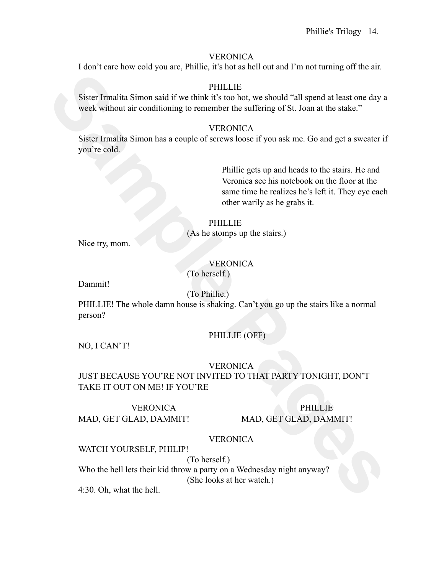I don't care how cold you are, Phillie, it's hot as hell out and I'm not turning off the air.

#### PHILLIE

Sister Irmalita Simon said if we think it's too hot, we should "all spend at least one day a week without air conditioning to remember the suffering of St. Joan at the stake."

#### **VERONICA**

Sister Irmalita Simon has a couple of screws loose if you ask me. Go and get a sweater if you're cold.

**Sincer Irmailian Simon said if we think it's too bot**, we should "all spend at least one day a<br>
week without air conditioning to remember the sufficing of St. Joan at the static."<br>
Sister Irmailia Simon has a couple of se Phillie gets up and heads to the stairs. He and Veronica see his notebook on the floor at the same time he realizes he's left it. They eye each other warily as he grabs it.

PHILLIE (As he stomps up the stairs.)

Nice try, mom.

# **VERONICA**

(To herself.)

Dammit!

(To Phillie.)

PHILLIE! The whole damn house is shaking. Can't you go up the stairs like a normal person?

# PHILLIE (OFF)

NO, I CAN'T!

### **VERONICA**

JUST BECAUSE YOU'RE NOT INVITED TO THAT PARTY TONIGHT, DON'T TAKE IT OUT ON ME! IF YOU'RE

VERONICA MAD, GET GLAD, DAMMIT!

PHILLIE MAD, GET GLAD, DAMMIT!

### VERONICA

WATCH YOURSELF, PHILIP!

(To herself.)

Who the hell lets their kid throw a party on a Wednesday night anyway? (She looks at her watch.)

4:30. Oh, what the hell.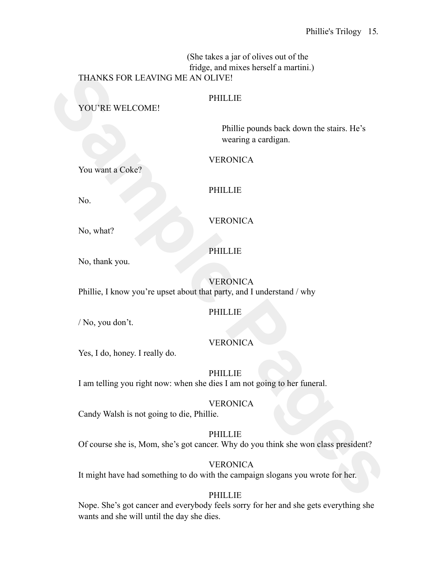(She takes a jar of olives out of the fridge, and mixes herself a martini.) THANKS FOR LEAVING ME AN OLIVE!

# **PHILLIE**

YOU'RE WELCOME!

Phillie pounds back down the stairs. He's wearing a cardigan.

VERONICA

You want a Coke?

PHILLIE

No.

VERONICA

No, what?

No, thank you.

PHILLIE

**VERONICA** Phillie, I know you're upset about that party, and I understand / why

PHILLIE

/ No, you don't.

# VERONICA

Yes, I do, honey. I really do.

PHILLIE I am telling you right now: when she dies I am not going to her funeral.

# VERONICA

Candy Walsh is not going to die, Phillie.

**Sample Pages 14 and Sample Pages 14 and Sample Pages**<br> **SAMPLE PERIME PERIME PERIME PRONTCA**<br>
PERIME POWER STATES POSTER<br>
PERIME PAGES PAGES PERIME PAGES Wearing a cardigent<br>
No, what?<br>
No, what?<br>
No, thank you.<br>
PERIMELL PHILLIE Of course she is, Mom, she's got cancer. Why do you think she won class president?

**VERONICA** It might have had something to do with the campaign slogans you wrote for her.

# PHILLIE

Nope. She's got cancer and everybody feels sorry for her and she gets everything she wants and she will until the day she dies.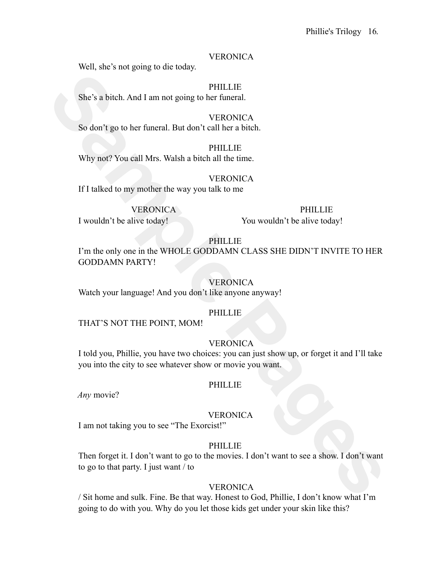Well, she's not going to die today.

**PHILLIE** She's a bitch. And I am not going to her funeral.

**VERONICA** So don't go to her funeral. But don't call her a bitch.

**PHILLIE** Why not? You call Mrs. Walsh a bitch all the time.

**VERONICA** If I talked to my mother the way you talk to me

VERONICA

PHILLIE

I wouldn't be alive today!

You wouldn't be alive today!

### PHILLIE

**Sample Permium School Control Control Control Control Control Control Control Control Control Control Control Control Control Control Control Control Control Control Control Control Control Control Control Control Control** I'm the only one in the WHOLE GODDAMN CLASS SHE DIDN'T INVITE TO HER GODDAMN PARTY!

### VERONICA

Watch your language! And you don't like anyone anyway!

### PHILLIE

THAT'S NOT THE POINT, MOM!

### **VERONICA**

I told you, Phillie, you have two choices: you can just show up, or forget it and I'll take you into the city to see whatever show or movie you want.

#### PHILLIE

*Any* movie?

### **VERONICA**

I am not taking you to see "The Exorcist!"

### PHILLIE

Then forget it. I don't want to go to the movies. I don't want to see a show. I don't want to go to that party. I just want / to

### **VERONICA**

/ Sit home and sulk. Fine. Be that way. Honest to God, Phillie, I don't know what I'm going to do with you. Why do you let those kids get under your skin like this?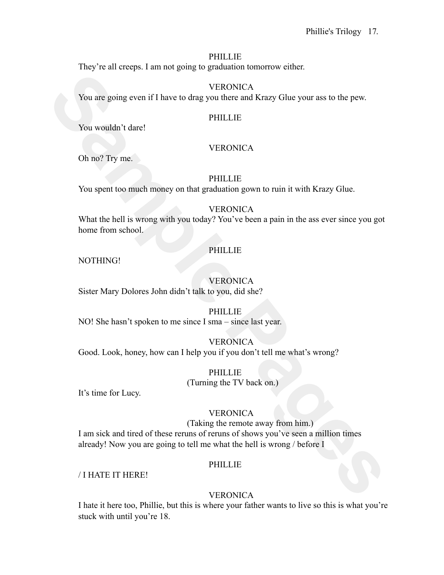### **PHILLIE**

They're all creeps. I am not going to graduation tomorrow either.

**VERONICA** You are going even if I have to drag you there and Krazy Glue your ass to the pew.

### **PHILLIE**

You wouldn't dare!

# **VERONICA**

Oh no? Try me.

# PHILLIE

You spent too much money on that graduation gown to ruin it with Krazy Glue.

# **VERONICA**

What the hell is wrong with you today? You've been a pain in the ass ever since you got home from school.

# PHILLIE

NOTHING!

# **VERONICA**

Sister Mary Dolores John didn't talk to you, did she?

### PHILLIE

NO! She hasn't spoken to me since I sma – since last year.

# **VERONICA**

Good. Look, honey, how can I help you if you don't tell me what's wrong?

#### **PHILLIE** (Turning the TV back on.)

It's time for Lucy.

# **VERONICA**

**Sample Page 12**<br> **SAMPLE PAGES**<br> **SAMPLE PAGES**<br> **SAMPLE PAGES**<br> **SAMPLE PAGES**<br> **SAMPLE PAGES**<br> **SAMPLE PAGES**<br> **SAMPLE PAGES**<br> **SAMPLE PAGES**<br> **SAMPLE PAGES**<br> **SAMPLE PAGES**<br> **SAMPLE PAGES**<br> **SAMPLE PAGES**<br> **SAMPLE PAGE** (Taking the remote away from him.) I am sick and tired of these reruns of reruns of shows you've seen a million times already! Now you are going to tell me what the hell is wrong / before I

# PHILLIE

/ I HATE IT HERE!

# **VERONICA**

I hate it here too, Phillie, but this is where your father wants to live so this is what you're stuck with until you're 18.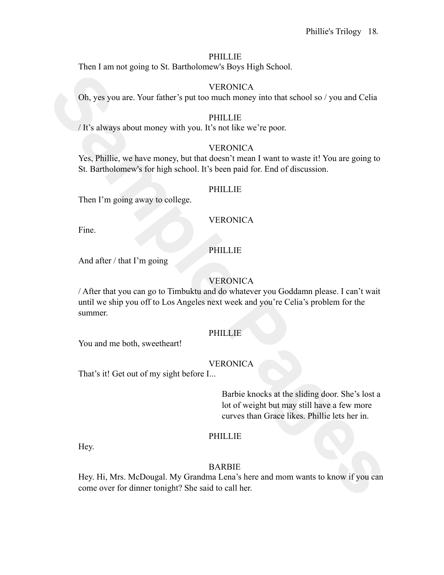#### PHILLIE

Then I am not going to St. Bartholomew's Boys High School.

#### **VERONICA**

Oh, yes you are. Your father's put too much money into that school so / you and Celia

#### PHILLIE

/ It's always about money with you. It's not like we're poor.

#### **VERONICA**

Yes, Phillie, we have money, but that doesn't mean I want to waste it! You are going to St. Bartholomew's for high school. It's been paid for. End of discussion.

#### PHILLIE

Then I'm going away to college.

#### **VERONICA**

Fine.

### PHILLIE

And after / that I'm going

### **VERONICA**

**SAMPLE CONCERN CONTENT CONTENT CONTENT**<br> **SAMPLE PROPERTION CONTENT CONTENT CONTENT CONTENT CONTENT OF THE USE OF THE CONTENT CONTENT CONTENT CONTENT CONTENT CONTENT CONTENT CONTENT CONTENT CONTENT CONTENT CONTENT CONTENT** / After that you can go to Timbuktu and do whatever you Goddamn please. I can't wait until we ship you off to Los Angeles next week and you're Celia's problem for the summer.

#### **PHILLIE**

You and me both, sweetheart!

### VERONICA

That's it! Get out of my sight before I...

Barbie knocks at the sliding door. She's lost a lot of weight but may still have a few more curves than Grace likes. Phillie lets her in.

#### PHILLIE

Hey.

## BARBIE

Hey. Hi, Mrs. McDougal. My Grandma Lena's here and mom wants to know if you can come over for dinner tonight? She said to call her.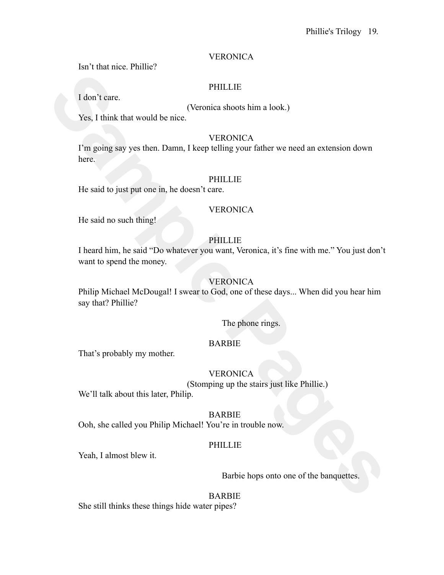Isn't that nice. Phillie?

## PHILLIE

I don't care.

(Veronica shoots him a look.)

Yes, I think that would be nice.

### **VERONICA**

I'm going say yes then. Damn, I keep telling your father we need an extension down here.

### PHILLIE

He said to just put one in, he doesn't care.

### VERONICA

He said no such thing!

## PHILLIE

**FHITLIE**<br> **Sample Pages**<br> **Sample Pages (Veronical shoots him a look.)**<br> **Sample Pages Sample Pages (Veronical shoots him a look.)**<br> **SAMPLE PAGES**<br> **SAMPLE PAGES**<br> **SAMPLE PAGES**<br> **SAMPLE PAGES**<br> **SAMPLE PAGES**<br> **SAMPLE** I heard him, he said "Do whatever you want, Veronica, it's fine with me." You just don't want to spend the money.

# VERONICA

Philip Michael McDougal! I swear to God, one of these days... When did you hear him say that? Phillie?

The phone rings.

### BARBIE

That's probably my mother.

# **VERONICA**

(Stomping up the stairs just like Phillie.)

We'll talk about this later, Philip.

### BARBIE

Ooh, she called you Philip Michael! You're in trouble now.

# PHILLIE

Yeah, I almost blew it.

### Barbie hops onto one of the banquettes.

## BARBIE

She still thinks these things hide water pipes?